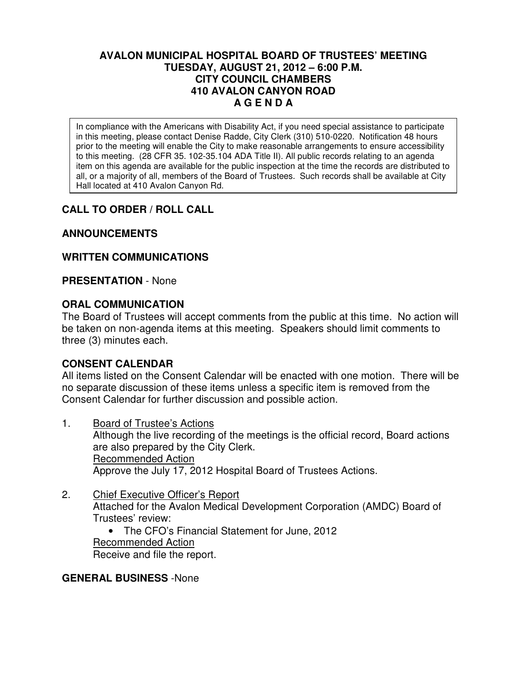## **AVALON MUNICIPAL HOSPITAL BOARD OF TRUSTEES' MEETING TUESDAY, AUGUST 21, 2012 – 6:00 P.M. CITY COUNCIL CHAMBERS 410 AVALON CANYON ROAD A G E N D A**

In compliance with the Americans with Disability Act, if you need special assistance to participate in this meeting, please contact Denise Radde, City Clerk (310) 510-0220. Notification 48 hours prior to the meeting will enable the City to make reasonable arrangements to ensure accessibility to this meeting. (28 CFR 35. 102-35.104 ADA Title II). All public records relating to an agenda item on this agenda are available for the public inspection at the time the records are distributed to all, or a majority of all, members of the Board of Trustees. Such records shall be available at City Hall located at 410 Avalon Canyon Rd.

# **CALL TO ORDER / ROLL CALL**

# **ANNOUNCEMENTS**

# **WRITTEN COMMUNICATIONS**

## **PRESENTATION** - None

# **ORAL COMMUNICATION**

The Board of Trustees will accept comments from the public at this time. No action will be taken on non-agenda items at this meeting. Speakers should limit comments to three (3) minutes each.

# **CONSENT CALENDAR**

All items listed on the Consent Calendar will be enacted with one motion. There will be no separate discussion of these items unless a specific item is removed from the Consent Calendar for further discussion and possible action.

- 1. Board of Trustee's Actions Although the live recording of the meetings is the official record, Board actions are also prepared by the City Clerk. Recommended Action Approve the July 17, 2012 Hospital Board of Trustees Actions.
- 2. Chief Executive Officer's Report Attached for the Avalon Medical Development Corporation (AMDC) Board of Trustees' review:
	- The CFO's Financial Statement for June, 2012 Recommended Action Receive and file the report.

## **GENERAL BUSINESS** -None